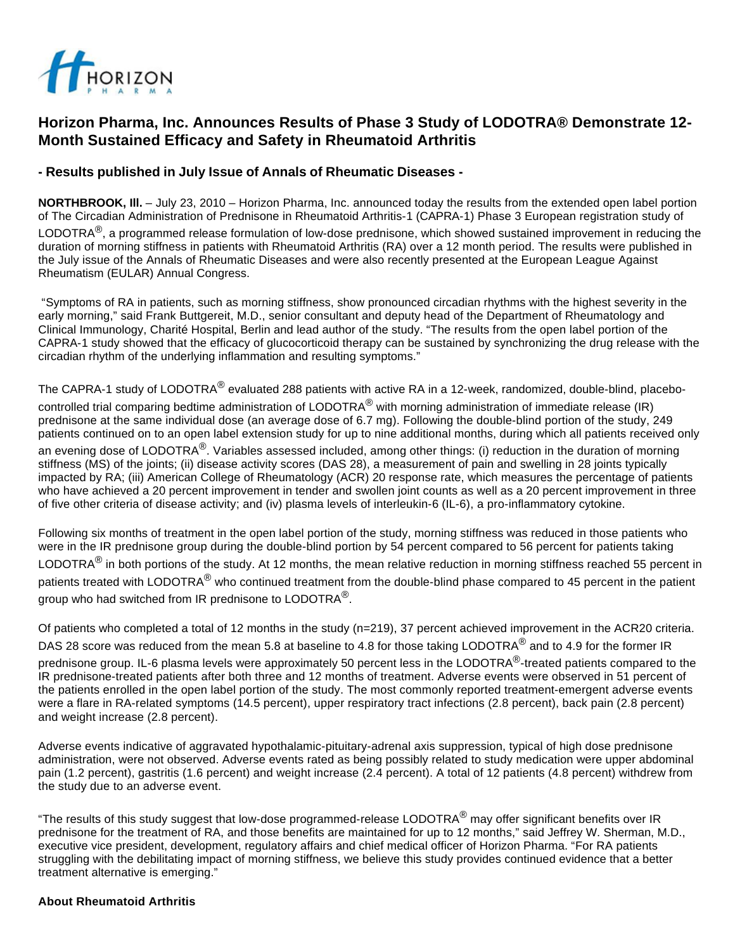

# **Horizon Pharma, Inc. Announces Results of Phase 3 Study of LODOTRA® Demonstrate 12- Month Sustained Efficacy and Safety in Rheumatoid Arthritis**

## **- Results published in July Issue of Annals of Rheumatic Diseases -**

**NORTHBROOK, Ill.** – July 23, 2010 – Horizon Pharma, Inc. announced today the results from the extended open label portion of The Circadian Administration of Prednisone in Rheumatoid Arthritis-1 (CAPRA-1) Phase 3 European registration study of

LODOTRA<sup>®</sup>, a programmed release formulation of low-dose prednisone, which showed sustained improvement in reducing the duration of morning stiffness in patients with Rheumatoid Arthritis (RA) over a 12 month period. The results were published in the July issue of the Annals of Rheumatic Diseases and were also recently presented at the European League Against Rheumatism (EULAR) Annual Congress.

"Symptoms of RA in patients, such as morning stiffness, show pronounced circadian rhythms with the highest severity in the early morning," said Frank Buttgereit, M.D., senior consultant and deputy head of the Department of Rheumatology and Clinical Immunology, Charité Hospital, Berlin and lead author of the study. "The results from the open label portion of the CAPRA-1 study showed that the efficacy of glucocorticoid therapy can be sustained by synchronizing the drug release with the circadian rhythm of the underlying inflammation and resulting symptoms."

The CAPRA-1 study of LODOTRA<sup>®</sup> evaluated 288 patients with active RA in a 12-week, randomized, double-blind, placebocontrolled trial comparing bedtime administration of LODOTRA<sup>®</sup> with morning administration of immediate release (IR) prednisone at the same individual dose (an average dose of 6.7 mg). Following the double-blind portion of the study, 249 patients continued on to an open label extension study for up to nine additional months, during which all patients received only an evening dose of LODOTRA<sup>®</sup>. Variables assessed included, among other things: (i) reduction in the duration of morning stiffness (MS) of the joints; (ii) disease activity scores (DAS 28), a measurement of pain and swelling in 28 joints typically impacted by RA; (iii) American College of Rheumatology (ACR) 20 response rate, which measures the percentage of patients who have achieved a 20 percent improvement in tender and swollen joint counts as well as a 20 percent improvement in three of five other criteria of disease activity; and (iv) plasma levels of interleukin-6 (IL-6), a pro-inflammatory cytokine.

Following six months of treatment in the open label portion of the study, morning stiffness was reduced in those patients who were in the IR prednisone group during the double-blind portion by 54 percent compared to 56 percent for patients taking LODOTRA $^{\circledR}$  in both portions of the study. At 12 months, the mean relative reduction in morning stiffness reached 55 percent in patients treated with LODOTRA<sup>®</sup> who continued treatment from the double-blind phase compared to 45 percent in the patient group who had switched from IR prednisone to LODOTRA<sup>®</sup>.

Of patients who completed a total of 12 months in the study (n=219), 37 percent achieved improvement in the ACR20 criteria. DAS 28 score was reduced from the mean 5.8 at baseline to 4.8 for those taking LODOTRA<sup>®</sup> and to 4.9 for the former IR prednisone group. IL-6 plasma levels were approximately 50 percent less in the LODOTRA<sup>®</sup>-treated patients compared to the IR prednisone-treated patients after both three and 12 months of treatment. Adverse events were observed in 51 percent of the patients enrolled in the open label portion of the study. The most commonly reported treatment-emergent adverse events were a flare in RA-related symptoms (14.5 percent), upper respiratory tract infections (2.8 percent), back pain (2.8 percent) and weight increase (2.8 percent).

Adverse events indicative of aggravated hypothalamic-pituitary-adrenal axis suppression, typical of high dose prednisone administration, were not observed. Adverse events rated as being possibly related to study medication were upper abdominal pain (1.2 percent), gastritis (1.6 percent) and weight increase (2.4 percent). A total of 12 patients (4.8 percent) withdrew from the study due to an adverse event.

"The results of this study suggest that low-dose programmed-release LODOTRA $^{\circledR}$  may offer significant benefits over IR prednisone for the treatment of RA, and those benefits are maintained for up to 12 months," said Jeffrey W. Sherman, M.D., executive vice president, development, regulatory affairs and chief medical officer of Horizon Pharma. "For RA patients struggling with the debilitating impact of morning stiffness, we believe this study provides continued evidence that a better treatment alternative is emerging."

### **About Rheumatoid Arthritis**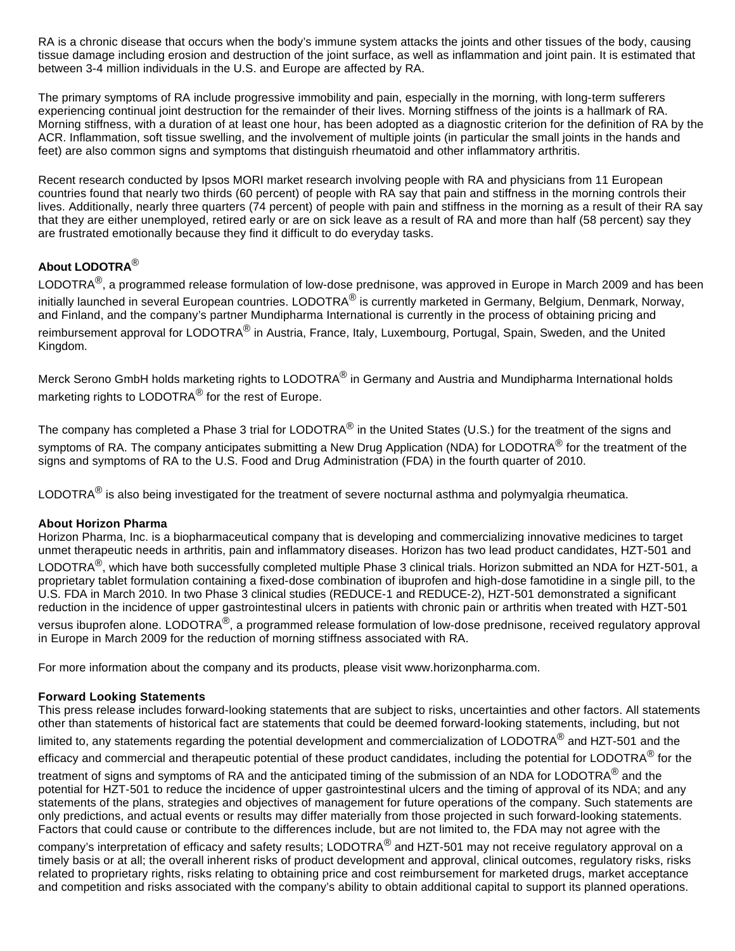RA is a chronic disease that occurs when the body's immune system attacks the joints and other tissues of the body, causing tissue damage including erosion and destruction of the joint surface, as well as inflammation and joint pain. It is estimated that between 3-4 million individuals in the U.S. and Europe are affected by RA.

The primary symptoms of RA include progressive immobility and pain, especially in the morning, with long-term sufferers experiencing continual joint destruction for the remainder of their lives. Morning stiffness of the joints is a hallmark of RA. Morning stiffness, with a duration of at least one hour, has been adopted as a diagnostic criterion for the definition of RA by the ACR. Inflammation, soft tissue swelling, and the involvement of multiple joints (in particular the small joints in the hands and feet) are also common signs and symptoms that distinguish rheumatoid and other inflammatory arthritis.

Recent research conducted by Ipsos MORI market research involving people with RA and physicians from 11 European countries found that nearly two thirds (60 percent) of people with RA say that pain and stiffness in the morning controls their lives. Additionally, nearly three quarters (74 percent) of people with pain and stiffness in the morning as a result of their RA say that they are either unemployed, retired early or are on sick leave as a result of RA and more than half (58 percent) say they are frustrated emotionally because they find it difficult to do everyday tasks.

# **About LODOTRA**®

LODOTRA<sup>®</sup>, a programmed release formulation of low-dose prednisone, was approved in Europe in March 2009 and has been initially launched in several European countries. LODOTRA<sup>®</sup> is currently marketed in Germany, Belgium, Denmark, Norway, and Finland, and the company's partner Mundipharma International is currently in the process of obtaining pricing and reimbursement approval for LODOTRA<sup>®</sup> in Austria, France, Italy, Luxembourg, Portugal, Spain, Sweden, and the United Kingdom.

Merck Serono GmbH holds marketing rights to LODOTRA<sup>®</sup> in Germany and Austria and Mundipharma International holds marketing rights to LODOTRA<sup>®</sup> for the rest of Europe.

The company has completed a Phase 3 trial for LODOTRA<sup>®</sup> in the United States (U.S.) for the treatment of the signs and symptoms of RA. The company anticipates submitting a New Drug Application (NDA) for LODOTRA<sup>®</sup> for the treatment of the signs and symptoms of RA to the U.S. Food and Drug Administration (FDA) in the fourth quarter of 2010.

LODOTRA $^{\circledR}$  is also being investigated for the treatment of severe nocturnal asthma and polymyalgia rheumatica.

### **About Horizon Pharma**

Horizon Pharma, Inc. is a biopharmaceutical company that is developing and commercializing innovative medicines to target unmet therapeutic needs in arthritis, pain and inflammatory diseases. Horizon has two lead product candidates, HZT-501 and

LODOTRA®, which have both successfully completed multiple Phase 3 clinical trials. Horizon submitted an NDA for HZT-501, a proprietary tablet formulation containing a fixed-dose combination of ibuprofen and high-dose famotidine in a single pill, to the U.S. FDA in March 2010. In two Phase 3 clinical studies (REDUCE-1 and REDUCE-2), HZT-501 demonstrated a significant reduction in the incidence of upper gastrointestinal ulcers in patients with chronic pain or arthritis when treated with HZT-501

versus ibuprofen alone. LODOTRA<sup>®</sup>, a programmed release formulation of low-dose prednisone, received regulatory approval in Europe in March 2009 for the reduction of morning stiffness associated with RA.

For more information about the company and its products, please visit www.horizonpharma.com.

### **Forward Looking Statements**

This press release includes forward-looking statements that are subject to risks, uncertainties and other factors. All statements other than statements of historical fact are statements that could be deemed forward-looking statements, including, but not limited to, any statements regarding the potential development and commercialization of LODOTRA<sup>®</sup> and HZT-501 and the efficacy and commercial and therapeutic potential of these product candidates, including the potential for LODOTRA<sup>®</sup> for the treatment of signs and symptoms of RA and the anticipated timing of the submission of an NDA for LODOTRA<sup>®</sup> and the potential for HZT-501 to reduce the incidence of upper gastrointestinal ulcers and the timing of approval of its NDA; and any statements of the plans, strategies and objectives of management for future operations of the company. Such statements are only predictions, and actual events or results may differ materially from those projected in such forward-looking statements. Factors that could cause or contribute to the differences include, but are not limited to, the FDA may not agree with the

company's interpretation of efficacy and safety results; LODOTRA<sup>®</sup> and HZT-501 may not receive regulatory approval on a timely basis or at all; the overall inherent risks of product development and approval, clinical outcomes, regulatory risks, risks related to proprietary rights, risks relating to obtaining price and cost reimbursement for marketed drugs, market acceptance and competition and risks associated with the company's ability to obtain additional capital to support its planned operations.